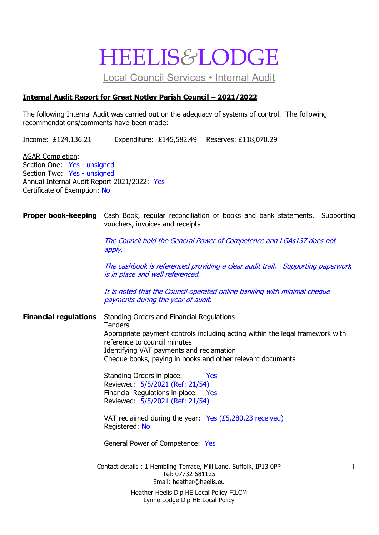## HEELIS*&*LODGE

Local Council Services • Internal Audit

#### **Internal Audit Report for Great Notley Parish Council – 2021/2022**

The following Internal Audit was carried out on the adequacy of systems of control. The following recommendations/comments have been made:

Income: £124,136.21 Expenditure: £145,582.49 Reserves: £118,070.29

AGAR Completion: Section One: Yes - unsigned Section Two: Yes - unsigned Annual Internal Audit Report 2021/2022: Yes Certificate of Exemption: No

#### **Proper book-keeping** Cash Book, regular reconciliation of books and bank statements. Supporting vouchers, invoices and receipts

The Council hold the General Power of Competence and LGAs137 does not apply.

The cashbook is referenced providing a clear audit trail. Supporting paperwork is in place and well referenced.

It is noted that the Council operated online banking with minimal cheque payments during the year of audit.

**Financial regulations** Standing Orders and Financial Regulations **Tenders** Appropriate payment controls including acting within the legal framework with reference to council minutes Identifying VAT payments and reclamation Cheque books, paying in books and other relevant documents

> Standing Orders in place: Yes Reviewed: 5/5/2021 (Ref: 21/54) Financial Regulations in place: Yes Reviewed: 5/5/2021 (Ref: 21/54)

VAT reclaimed during the year: Yes (£5,280.23 received) Registered: No

General Power of Competence: Yes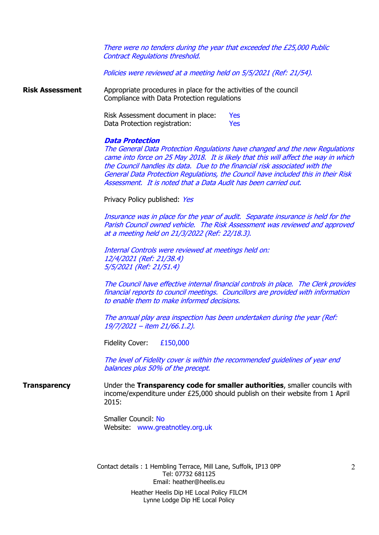There were no tenders during the year that exceeded the £25,000 Public Contract Regulations threshold.

Policies were reviewed at a meeting held on 5/5/2021 (Ref: 21/54).

**Risk Assessment** Appropriate procedures in place for the activities of the council Compliance with Data Protection regulations

> Risk Assessment document in place: Yes Data Protection registration: Yes

#### **Data Protection**

The General Data Protection Regulations have changed and the new Regulations came into force on 25 May 2018. It is likely that this will affect the way in which the Council handles its data. Due to the financial risk associated with the General Data Protection Regulations, the Council have included this in their Risk Assessment. It is noted that a Data Audit has been carried out.

Privacy Policy published: Yes

Insurance was in place for the year of audit. Separate insurance is held for the Parish Council owned vehicle. The Risk Assessment was reviewed and approved at a meeting held on 21/3/2022 (Ref: 22/18.3).

Internal Controls were reviewed at meetings held on: 12/4/2021 (Ref: 21/38.4) 5/5/2021 (Ref: 21/51.4)

The Council have effective internal financial controls in place. The Clerk provides financial reports to council meetings. Councillors are provided with information to enable them to make informed decisions.

The annual play area inspection has been undertaken during the year (Ref: 19/7/2021 – item 21/66.1.2).

Fidelity Cover: £150,000

The level of Fidelity cover is within the recommended guidelines of year end balances plus 50% of the precept.

**Transparency** Under the **Transparency code for smaller authorities**, smaller councils with income/expenditure under £25,000 should publish on their website from 1 April 2015:

> Smaller Council: No Website: www.greatnotley.org.uk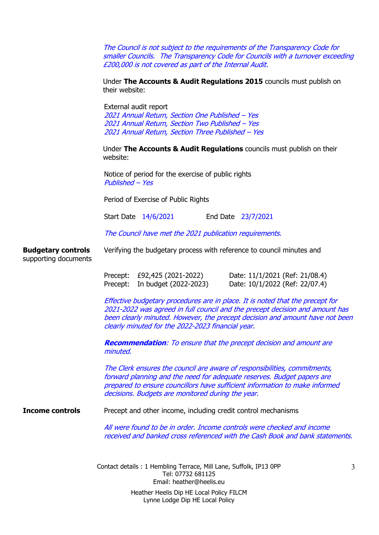The Council is not subject to the requirements of the Transparency Code for smaller Councils. The Transparency Code for Councils with a turnover exceeding £200,000 is not covered as part of the Internal Audit.

Under **The Accounts & Audit Regulations 2015** councils must publish on their website:

External audit report Annual Return, Section One Published – Yes Annual Return, Section Two Published – Yes Annual Return, Section Three Published – Yes

Under **The Accounts & Audit Regulations** councils must publish on their website:

Notice of period for the exercise of public rights Published – Yes

Period of Exercise of Public Rights

Start Date 14/6/2021 End Date 23/7/2021

The Council have met the 2021 publication requirements.

**Budgetary controls** Verifying the budgetary process with reference to council minutes and supporting documents

| Precept: £92,425 (2021-2022)   | Date: 11/1/2021 (Ref: 21/08.4) |
|--------------------------------|--------------------------------|
| Precept: In budget (2022-2023) | Date: 10/1/2022 (Ref: 22/07.4) |

Effective budgetary procedures are in place. It is noted that the precept for 2021-2022 was agreed in full council and the precept decision and amount has been clearly minuted. However, the precept decision and amount have not been clearly minuted for the 2022-2023 financial year.

**Recommendation**: To ensure that the precept decision and amount are minuted.

The Clerk ensures the council are aware of responsibilities, commitments, forward planning and the need for adequate reserves. Budget papers are prepared to ensure councillors have sufficient information to make informed decisions. Budgets are monitored during the year.

**Income controls** Precept and other income, including credit control mechanisms

All were found to be in order. Income controls were checked and income received and banked cross referenced with the Cash Book and bank statements.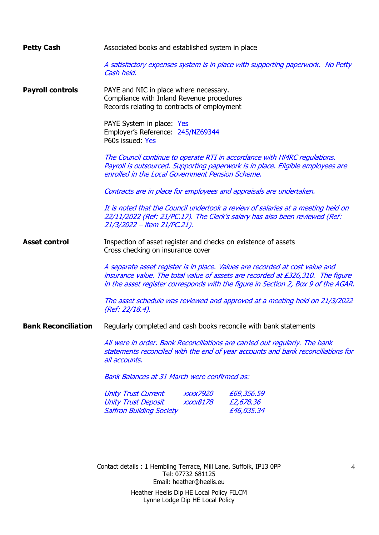| <b>Petty Cash</b>          | Associated books and established system in place                                                                                                                                                                                                      |  |  |  |
|----------------------------|-------------------------------------------------------------------------------------------------------------------------------------------------------------------------------------------------------------------------------------------------------|--|--|--|
|                            | A satisfactory expenses system is in place with supporting paperwork. No Petty<br>Cash held.                                                                                                                                                          |  |  |  |
| <b>Payroll controls</b>    | PAYE and NIC in place where necessary.<br>Compliance with Inland Revenue procedures<br>Records relating to contracts of employment                                                                                                                    |  |  |  |
|                            | PAYE System in place: Yes<br>Employer's Reference: 245/NZ69344<br>P60s issued: Yes                                                                                                                                                                    |  |  |  |
|                            | The Council continue to operate RTI in accordance with HMRC regulations.<br>Payroll is outsourced. Supporting paperwork is in place. Eligible employees are<br>enrolled in the Local Government Pension Scheme.                                       |  |  |  |
|                            | Contracts are in place for employees and appraisals are undertaken.                                                                                                                                                                                   |  |  |  |
|                            | It is noted that the Council undertook a review of salaries at a meeting held on<br>22/11/2022 (Ref: 21/PC.17). The Clerk's salary has also been reviewed (Ref:<br>21/3/2022 – item 21/PC.21).                                                        |  |  |  |
| <b>Asset control</b>       | Inspection of asset register and checks on existence of assets<br>Cross checking on insurance cover                                                                                                                                                   |  |  |  |
|                            | A separate asset register is in place. Values are recorded at cost value and<br>insurance value. The total value of assets are recorded at £326,310. The figure<br>in the asset register corresponds with the figure in Section 2, Box 9 of the AGAR. |  |  |  |
|                            | The asset schedule was reviewed and approved at a meeting held on 21/3/2022<br>(Ref: 22/18.4).                                                                                                                                                        |  |  |  |
| <b>Bank Reconciliation</b> | Regularly completed and cash books reconcile with bank statements                                                                                                                                                                                     |  |  |  |
|                            | All were in order. Bank Reconciliations are carried out regularly. The bank<br>statements reconciled with the end of year accounts and bank reconciliations for<br>all accounts.                                                                      |  |  |  |
|                            | <b>Bank Balances at 31 March were confirmed as:</b>                                                                                                                                                                                                   |  |  |  |
|                            | <b>Unity Trust Current</b><br><i><b>XXXX7920</b></i><br>£69,356.59<br><b>Unity Trust Deposit</b><br><b>XXXX8178</b><br>£2,678.36<br><b>Saffron Building Society</b><br>£46,035.34                                                                     |  |  |  |
|                            |                                                                                                                                                                                                                                                       |  |  |  |
|                            | Contact details: 1 Hembling Terrace, Mill Lane, Suffolk, IP13 0PP<br>$\overline{4}$<br>Tel: 07732 681125<br>Email: heather@heelis.eu                                                                                                                  |  |  |  |
|                            | Heather Heelis Dip HE Local Policy FILCM                                                                                                                                                                                                              |  |  |  |

Lynne Lodge Dip HE Local Policy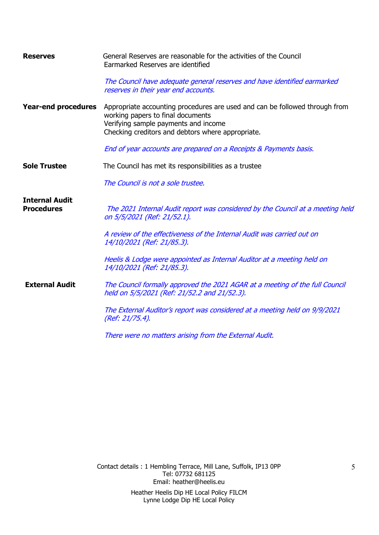| <b>Reserves</b>                            | General Reserves are reasonable for the activities of the Council<br>Earmarked Reserves are identified                                                                                                        |  |  |
|--------------------------------------------|---------------------------------------------------------------------------------------------------------------------------------------------------------------------------------------------------------------|--|--|
|                                            | The Council have adequate general reserves and have identified earmarked<br>reserves in their year end accounts.                                                                                              |  |  |
| <b>Year-end procedures</b>                 | Appropriate accounting procedures are used and can be followed through from<br>working papers to final documents<br>Verifying sample payments and income<br>Checking creditors and debtors where appropriate. |  |  |
|                                            | End of year accounts are prepared on a Receipts & Payments basis.                                                                                                                                             |  |  |
| <b>Sole Trustee</b>                        | The Council has met its responsibilities as a trustee                                                                                                                                                         |  |  |
|                                            | The Council is not a sole trustee.                                                                                                                                                                            |  |  |
| <b>Internal Audit</b><br><b>Procedures</b> | The 2021 Internal Audit report was considered by the Council at a meeting held<br>on 5/5/2021 (Ref: 21/52.1).                                                                                                 |  |  |
|                                            | A review of the effectiveness of the Internal Audit was carried out on<br>14/10/2021 (Ref: 21/85.3).                                                                                                          |  |  |
|                                            | Heelis & Lodge were appointed as Internal Auditor at a meeting held on<br>14/10/2021 (Ref: 21/85.3).                                                                                                          |  |  |
| <b>External Audit</b>                      | The Council formally approved the 2021 AGAR at a meeting of the full Council<br>held on 5/5/2021 (Ref: 21/52.2 and 21/52.3).                                                                                  |  |  |
|                                            | The External Auditor's report was considered at a meeting held on 9/9/2021<br>(Ref: 21/75.4).                                                                                                                 |  |  |
|                                            | There were no matters arising from the External Audit.                                                                                                                                                        |  |  |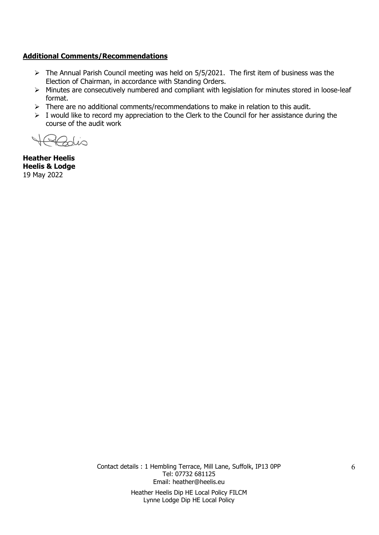#### **Additional Comments/Recommendations**

- ➢ The Annual Parish Council meeting was held on 5/5/2021. The first item of business was the Election of Chairman, in accordance with Standing Orders.
- ➢ Minutes are consecutively numbered and compliant with legislation for minutes stored in loose-leaf format.
- ➢ There are no additional comments/recommendations to make in relation to this audit.
- $\triangleright$  I would like to record my appreciation to the Clerk to the Council for her assistance during the course of the audit work

 $\sin$ 

**Heather Heelis Heelis & Lodge** 19 May 2022